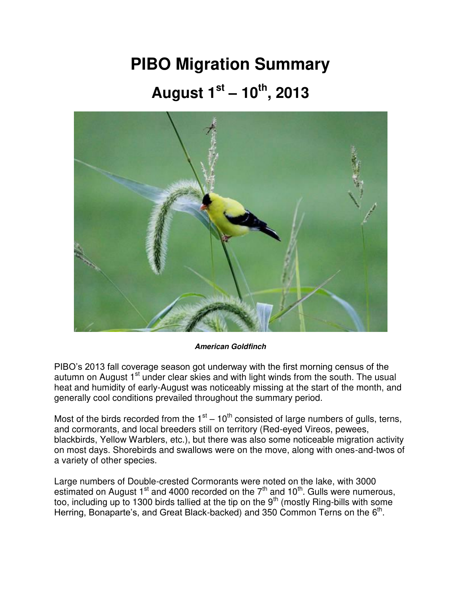## **PIBO Migration Summary August 1st – 10th, 2013**



*American Goldfinch*

PIBO's 2013 fall coverage season got underway with the first morning census of the autumn on August 1<sup>st</sup> under clear skies and with light winds from the south. The usual heat and humidity of early-August was noticeably missing at the start of the month, and generally cool conditions prevailed throughout the summary period.

Most of the birds recorded from the  $1<sup>st</sup> - 10<sup>th</sup>$  consisted of large numbers of gulls, terns, and cormorants, and local breeders still on territory (Red-eyed Vireos, pewees, blackbirds, Yellow Warblers, etc.), but there was also some noticeable migration activity on most days. Shorebirds and swallows were on the move, along with ones-and-twos of a variety of other species.

Large numbers of Double-crested Cormorants were noted on the lake, with 3000 estimated on August 1<sup>st</sup> and 4000 recorded on the 7<sup>th</sup> and 10<sup>th</sup>. Gulls were numerous, too, including up to 1300 birds tallied at the tip on the  $9<sup>th</sup>$  (mostly Ring-bills with some Herring, Bonaparte's, and Great Black-backed) and 350 Common Terns on the  $6<sup>th</sup>$ .